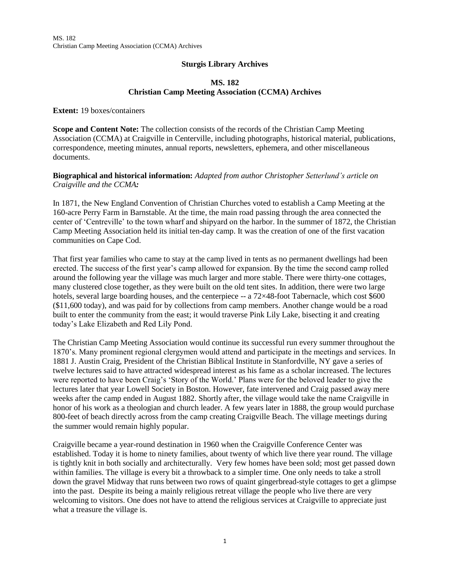## **Sturgis Library Archives**

## **MS. 182 Christian Camp Meeting Association (CCMA) Archives**

**Extent:** 19 boxes/containers

**Scope and Content Note:** The collection consists of the records of the Christian Camp Meeting Association (CCMA) at Craigville in Centerville, including photographs, historical material, publications, correspondence, meeting minutes, annual reports, newsletters, ephemera, and other miscellaneous documents.

## **Biographical and historical information:** *Adapted from author Christopher Setterlund's article on Craigville and the CCMA:*

In 1871, the New England Convention of Christian Churches voted to establish a Camp Meeting at the 160-acre Perry Farm in Barnstable. At the time, the main road passing through the area connected the center of 'Centreville' to the town wharf and shipyard on the harbor. In the summer of 1872, the Christian Camp Meeting Association held its initial ten-day camp. It was the creation of one of the first vacation communities on Cape Cod.

That first year families who came to stay at the camp lived in tents as no permanent dwellings had been erected. The success of the first year's camp allowed for expansion. By the time the second camp rolled around the following year the village was much larger and more stable. There were thirty-one cottages, many clustered close together, as they were built on the old tent sites. In addition, there were two large hotels, several large boarding houses, and the centerpiece  $-$  a  $72\times48$ -foot Tabernacle, which cost \$600 (\$11,600 today), and was paid for by collections from camp members. Another change would be a road built to enter the community from the east; it would traverse Pink Lily Lake, bisecting it and creating today's Lake Elizabeth and Red Lily Pond.

The Christian Camp Meeting Association would continue its successful run every summer throughout the 1870's. Many prominent regional clergymen would attend and participate in the meetings and services. In 1881 J. Austin Craig, President of the Christian Biblical Institute in Stanfordville, NY gave a series of twelve lectures said to have attracted widespread interest as his fame as a scholar increased. The lectures were reported to have been Craig's 'Story of the World.' Plans were for the beloved leader to give the lectures later that year Lowell Society in Boston. However, fate intervened and Craig passed away mere weeks after the camp ended in August 1882. Shortly after, the village would take the name Craigville in honor of his work as a theologian and church leader. A few years later in 1888, the group would purchase 800-feet of beach directly across from the camp creating Craigville Beach. The village meetings during the summer would remain highly popular.

Craigville became a year-round destination in 1960 when the Craigville Conference Center was established. Today it is home to ninety families, about twenty of which live there year round. The village is tightly knit in both socially and architecturally. Very few homes have been sold; most get passed down within families. The village is every bit a throwback to a simpler time. One only needs to take a stroll down the gravel Midway that runs between two rows of quaint gingerbread-style cottages to get a glimpse into the past. Despite its being a mainly religious retreat village the people who live there are very welcoming to visitors. One does not have to attend the religious services at Craigville to appreciate just what a treasure the village is.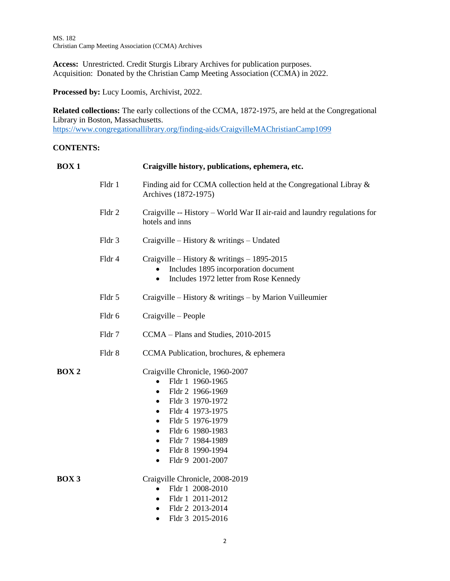**Access:** Unrestricted. Credit Sturgis Library Archives for publication purposes. Acquisition: Donated by the Christian Camp Meeting Association (CCMA) in 2022.

**Processed by:** Lucy Loomis, Archivist, 2022.

**Related collections:** The early collections of the CCMA, 1872-1975, are held at the Congregational Library in Boston, Massachusetts.

<https://www.congregationallibrary.org/finding-aids/CraigvilleMAChristianCamp1099>

#### **CONTENTS:**

| <b>BOX1</b> |        | Craigville history, publications, ephemera, etc.                                                                                                                                                                                                                                                                            |
|-------------|--------|-----------------------------------------------------------------------------------------------------------------------------------------------------------------------------------------------------------------------------------------------------------------------------------------------------------------------------|
|             | Fldr 1 | Finding aid for CCMA collection held at the Congregational Libray &<br>Archives (1872-1975)                                                                                                                                                                                                                                 |
|             | Fldr 2 | Craigville -- History – World War II air-raid and laundry regulations for<br>hotels and inns                                                                                                                                                                                                                                |
|             | Fldr 3 | Craigville – History $\&$ writings – Undated                                                                                                                                                                                                                                                                                |
|             | Fldr 4 | Craigville – History & writings – $1895-2015$<br>Includes 1895 incorporation document<br>Includes 1972 letter from Rose Kennedy<br>$\bullet$                                                                                                                                                                                |
|             | Fldr 5 | Craigville – History & writings – by Marion Vuilleumier                                                                                                                                                                                                                                                                     |
|             | Fldr 6 | Craigville – People                                                                                                                                                                                                                                                                                                         |
|             | Fldr 7 | CCMA - Plans and Studies, 2010-2015                                                                                                                                                                                                                                                                                         |
|             | Fldr 8 | CCMA Publication, brochures, & ephemera                                                                                                                                                                                                                                                                                     |
| <b>BOX2</b> |        | Craigville Chronicle, 1960-2007<br>Fldr 1 1960-1965<br>Fldr 2 1966-1969<br>$\bullet$<br>Fldr 3 1970-1972<br>$\bullet$<br>Fldr 4 1973-1975<br>$\bullet$<br>Fldr 5 1976-1979<br>$\bullet$<br>Fldr 6 1980-1983<br>$\bullet$<br>Fldr 7 1984-1989<br>$\bullet$<br>Fldr 8 1990-1994<br>$\bullet$<br>Fldr 9 2001-2007<br>$\bullet$ |
| BOX 3       |        | Craigville Chronicle, 2008-2019<br>Fldr 1 2008-2010<br>$\bullet$<br>Fldr 1 2011-2012<br>$\bullet$<br>Fldr 2 2013-2014<br>$\bullet$<br>Fldr 3 2015-2016<br>$\bullet$                                                                                                                                                         |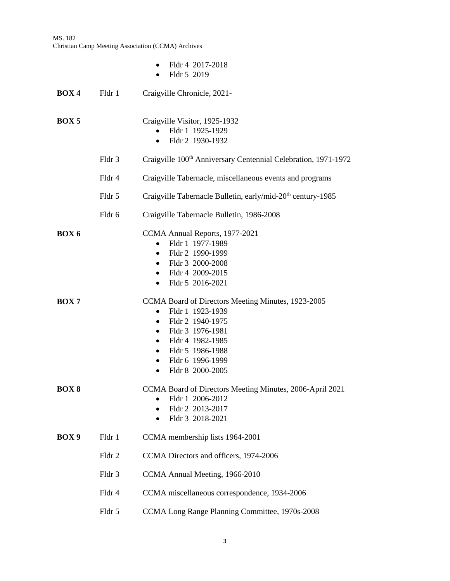MS. 182 Christian Camp Meeting Association (CCMA) Archives

|                  |        | Fldr 4 2017-2018<br>$\bullet$<br>Fldr 5 2019                                                                                                                                                                                                                                              |
|------------------|--------|-------------------------------------------------------------------------------------------------------------------------------------------------------------------------------------------------------------------------------------------------------------------------------------------|
| <b>BOX4</b>      | Fldr 1 | Craigville Chronicle, 2021-                                                                                                                                                                                                                                                               |
| BOX <sub>5</sub> |        | Craigville Visitor, 1925-1932<br>Fldr 1 1925-1929<br>Fldr 2 1930-1932<br>$\bullet$                                                                                                                                                                                                        |
|                  | Fldr 3 | Craigville 100 <sup>th</sup> Anniversary Centennial Celebration, 1971-1972                                                                                                                                                                                                                |
|                  | Fldr 4 | Craigville Tabernacle, miscellaneous events and programs                                                                                                                                                                                                                                  |
|                  | Fldr 5 | Craigville Tabernacle Bulletin, early/mid-20 <sup>th</sup> century-1985                                                                                                                                                                                                                   |
|                  | Fldr 6 | Craigville Tabernacle Bulletin, 1986-2008                                                                                                                                                                                                                                                 |
| BOX <sub>6</sub> |        | CCMA Annual Reports, 1977-2021<br>Fldr 1 1977-1989<br>$\bullet$<br>Fldr 2 1990-1999<br>$\bullet$<br>Fldr 3 2000-2008<br>$\bullet$<br>Fldr 4 2009-2015<br>$\bullet$<br>Fldr 5 2016-2021<br>$\bullet$                                                                                       |
| BOX 7            |        | CCMA Board of Directors Meeting Minutes, 1923-2005<br>Fldr 1 1923-1939<br>$\bullet$<br>Fldr 2 1940-1975<br>$\bullet$<br>Fldr 3 1976-1981<br>$\bullet$<br>Fldr 4 1982-1985<br>$\bullet$<br>Fldr 5 1986-1988<br>$\bullet$<br>Fldr 6 1996-1999<br>$\bullet$<br>Fldr 8 2000-2005<br>$\bullet$ |
| <b>BOX 8</b>     |        | CCMA Board of Directors Meeting Minutes, 2006-April 2021<br>Fldr 1 2006-2012<br>$\bullet$<br>Fldr 2 2013-2017<br>Fldr 3 2018-2021                                                                                                                                                         |
| BOX <sub>9</sub> | Fldr 1 | CCMA membership lists 1964-2001                                                                                                                                                                                                                                                           |
|                  | Fldr 2 | CCMA Directors and officers, 1974-2006                                                                                                                                                                                                                                                    |
|                  | Fldr 3 | CCMA Annual Meeting, 1966-2010                                                                                                                                                                                                                                                            |
|                  | Fldr 4 | CCMA miscellaneous correspondence, 1934-2006                                                                                                                                                                                                                                              |
|                  | Fldr 5 | CCMA Long Range Planning Committee, 1970s-2008                                                                                                                                                                                                                                            |
|                  |        |                                                                                                                                                                                                                                                                                           |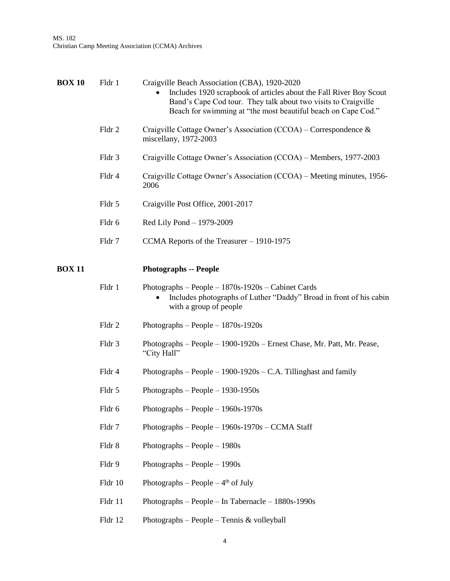| <b>BOX 10</b> | Fldr 1  | Craigville Beach Association (CBA), 1920-2020<br>Includes 1920 scrapbook of articles about the Fall River Boy Scout<br>Band's Cape Cod tour. They talk about two visits to Craigville<br>Beach for swimming at "the most beautiful beach on Cape Cod." |
|---------------|---------|--------------------------------------------------------------------------------------------------------------------------------------------------------------------------------------------------------------------------------------------------------|
|               | Fldr 2  | Craigville Cottage Owner's Association (CCOA) – Correspondence &<br>miscellany, 1972-2003                                                                                                                                                              |
|               | Fldr 3  | Craigville Cottage Owner's Association (CCOA) – Members, 1977-2003                                                                                                                                                                                     |
|               | Fldr 4  | Craigville Cottage Owner's Association (CCOA) – Meeting minutes, 1956-<br>2006                                                                                                                                                                         |
|               | Fldr 5  | Craigville Post Office, 2001-2017                                                                                                                                                                                                                      |
|               | Fldr 6  | Red Lily Pond - 1979-2009                                                                                                                                                                                                                              |
|               | Fldr 7  | CCMA Reports of the Treasurer - 1910-1975                                                                                                                                                                                                              |
| <b>BOX 11</b> |         | <b>Photographs -- People</b>                                                                                                                                                                                                                           |
|               | Fldr 1  | Photographs $-$ People $-1870s-1920s$ $-$ Cabinet Cards<br>Includes photographs of Luther "Daddy" Broad in front of his cabin<br>with a group of people                                                                                                |
|               | Fldr 2  | Photographs – People – $1870s-1920s$                                                                                                                                                                                                                   |
|               | Fldr 3  | Photographs - People - 1900-1920s - Ernest Chase, Mr. Patt, Mr. Pease,<br>"City Hall"                                                                                                                                                                  |
|               | Fldr 4  | Photographs – People – $1900-1920s$ – C.A. Tillinghast and family                                                                                                                                                                                      |
|               | Fldr 5  | Photographs – People – $1930-1950s$                                                                                                                                                                                                                    |
|               | Fldr 6  | Photographs $-$ People $-1960s-1970s$                                                                                                                                                                                                                  |
|               | Fldr 7  | Photographs - People $-1960s-1970s$ - CCMA Staff                                                                                                                                                                                                       |
|               | Fldr 8  | Photographs $-$ People $-1980s$                                                                                                                                                                                                                        |
|               | Fldr 9  | Photographs $-$ People $-1990s$                                                                                                                                                                                                                        |
|               | Fldr 10 | Photographs – People – $4th$ of July                                                                                                                                                                                                                   |
|               | Fldr 11 | Photographs - People - In Tabernacle - $1880s-1990s$                                                                                                                                                                                                   |
|               | Fldr 12 | Photographs - People - Tennis & volleyball                                                                                                                                                                                                             |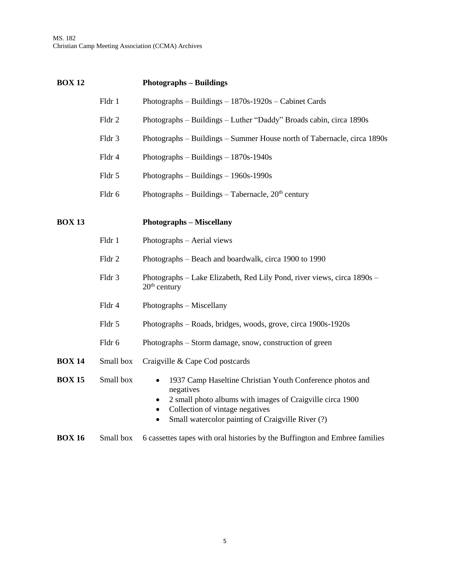MS. 182 Christian Camp Meeting Association (CCMA) Archives

| <b>BOX 12</b> |           | <b>Photographs – Buildings</b>                                                                                                                                                                                                                                                  |
|---------------|-----------|---------------------------------------------------------------------------------------------------------------------------------------------------------------------------------------------------------------------------------------------------------------------------------|
|               | Fldr 1    | Photographs $-$ Buildings $-$ 1870s-1920s $-$ Cabinet Cards                                                                                                                                                                                                                     |
|               | Fldr 2    | Photographs – Buildings – Luther "Daddy" Broads cabin, circa 1890s                                                                                                                                                                                                              |
|               | Fldr 3    | Photographs – Buildings – Summer House north of Tabernacle, circa 1890s                                                                                                                                                                                                         |
|               | Fldr 4    | Photographs – Buildings – $1870s-1940s$                                                                                                                                                                                                                                         |
|               | Fldr 5    | Photographs $-$ Buildings $-$ 1960s-1990s                                                                                                                                                                                                                                       |
|               | Fldr 6    | Photographs – Buildings – Tabernacle, $20th$ century                                                                                                                                                                                                                            |
| <b>BOX 13</b> |           | <b>Photographs - Miscellany</b>                                                                                                                                                                                                                                                 |
|               | Fldr 1    | Photographs - Aerial views                                                                                                                                                                                                                                                      |
|               | Fldr 2    | Photographs – Beach and boardwalk, circa 1900 to 1990                                                                                                                                                                                                                           |
|               | Fldr 3    | Photographs – Lake Elizabeth, Red Lily Pond, river views, circa 1890s –<br>$20th$ century                                                                                                                                                                                       |
|               | Fldr 4    | Photographs – Miscellany                                                                                                                                                                                                                                                        |
|               | Fldr 5    | Photographs – Roads, bridges, woods, grove, circa 1900s-1920s                                                                                                                                                                                                                   |
|               | Fldr 6    | Photographs – Storm damage, snow, construction of green                                                                                                                                                                                                                         |
| <b>BOX 14</b> | Small box | Craigville & Cape Cod postcards                                                                                                                                                                                                                                                 |
| <b>BOX 15</b> | Small box | 1937 Camp Haseltine Christian Youth Conference photos and<br>$\bullet$<br>negatives<br>2 small photo albums with images of Craigville circa 1900<br>$\bullet$<br>Collection of vintage negatives<br>$\bullet$<br>Small watercolor painting of Craigville River (?)<br>$\bullet$ |

# **BOX 16** Small box 6 cassettes tapes with oral histories by the Buffington and Embree families